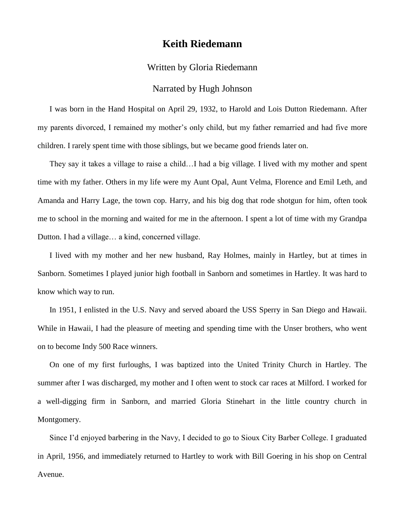## **Keith Riedemann**

## Written by Gloria Riedemann

## Narrated by Hugh Johnson

I was born in the Hand Hospital on April 29, 1932, to Harold and Lois Dutton Riedemann. After my parents divorced, I remained my mother's only child, but my father remarried and had five more children. I rarely spent time with those siblings, but we became good friends later on.

They say it takes a village to raise a child…I had a big village. I lived with my mother and spent time with my father. Others in my life were my Aunt Opal, Aunt Velma, Florence and Emil Leth, and Amanda and Harry Lage, the town cop. Harry, and his big dog that rode shotgun for him, often took me to school in the morning and waited for me in the afternoon. I spent a lot of time with my Grandpa Dutton. I had a village… a kind, concerned village.

I lived with my mother and her new husband, Ray Holmes, mainly in Hartley, but at times in Sanborn. Sometimes I played junior high football in Sanborn and sometimes in Hartley. It was hard to know which way to run.

In 1951, I enlisted in the U.S. Navy and served aboard the USS Sperry in San Diego and Hawaii. While in Hawaii, I had the pleasure of meeting and spending time with the Unser brothers, who went on to become Indy 500 Race winners.

On one of my first furloughs, I was baptized into the United Trinity Church in Hartley. The summer after I was discharged, my mother and I often went to stock car races at Milford. I worked for a well-digging firm in Sanborn, and married Gloria Stinehart in the little country church in Montgomery.

Since I'd enjoyed barbering in the Navy, I decided to go to Sioux City Barber College. I graduated in April, 1956, and immediately returned to Hartley to work with Bill Goering in his shop on Central Avenue.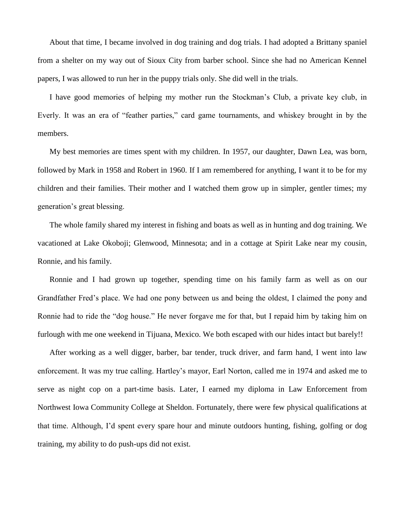About that time, I became involved in dog training and dog trials. I had adopted a Brittany spaniel from a shelter on my way out of Sioux City from barber school. Since she had no American Kennel papers, I was allowed to run her in the puppy trials only. She did well in the trials.

I have good memories of helping my mother run the Stockman's Club, a private key club, in Everly. It was an era of "feather parties," card game tournaments, and whiskey brought in by the members.

My best memories are times spent with my children. In 1957, our daughter, Dawn Lea, was born, followed by Mark in 1958 and Robert in 1960. If I am remembered for anything, I want it to be for my children and their families. Their mother and I watched them grow up in simpler, gentler times; my generation's great blessing.

The whole family shared my interest in fishing and boats as well as in hunting and dog training. We vacationed at Lake Okoboji; Glenwood, Minnesota; and in a cottage at Spirit Lake near my cousin, Ronnie, and his family.

Ronnie and I had grown up together, spending time on his family farm as well as on our Grandfather Fred's place. We had one pony between us and being the oldest, I claimed the pony and Ronnie had to ride the "dog house." He never forgave me for that, but I repaid him by taking him on furlough with me one weekend in Tijuana, Mexico. We both escaped with our hides intact but barely!!

After working as a well digger, barber, bar tender, truck driver, and farm hand, I went into law enforcement. It was my true calling. Hartley's mayor, Earl Norton, called me in 1974 and asked me to serve as night cop on a part-time basis. Later, I earned my diploma in Law Enforcement from Northwest Iowa Community College at Sheldon. Fortunately, there were few physical qualifications at that time. Although, I'd spent every spare hour and minute outdoors hunting, fishing, golfing or dog training, my ability to do push-ups did not exist.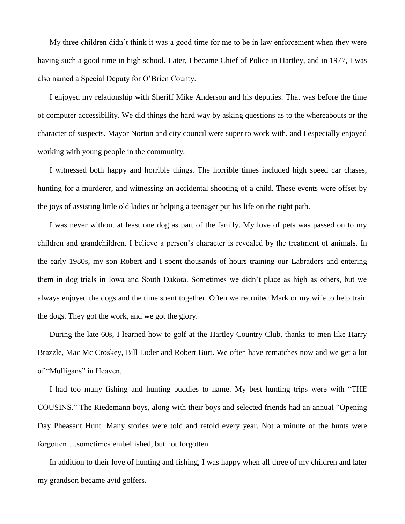My three children didn't think it was a good time for me to be in law enforcement when they were having such a good time in high school. Later, I became Chief of Police in Hartley, and in 1977, I was also named a Special Deputy for O'Brien County.

I enjoyed my relationship with Sheriff Mike Anderson and his deputies. That was before the time of computer accessibility. We did things the hard way by asking questions as to the whereabouts or the character of suspects. Mayor Norton and city council were super to work with, and I especially enjoyed working with young people in the community.

I witnessed both happy and horrible things. The horrible times included high speed car chases, hunting for a murderer, and witnessing an accidental shooting of a child. These events were offset by the joys of assisting little old ladies or helping a teenager put his life on the right path.

I was never without at least one dog as part of the family. My love of pets was passed on to my children and grandchildren. I believe a person's character is revealed by the treatment of animals. In the early 1980s, my son Robert and I spent thousands of hours training our Labradors and entering them in dog trials in Iowa and South Dakota. Sometimes we didn't place as high as others, but we always enjoyed the dogs and the time spent together. Often we recruited Mark or my wife to help train the dogs. They got the work, and we got the glory.

During the late 60s, I learned how to golf at the Hartley Country Club, thanks to men like Harry Brazzle, Mac Mc Croskey, Bill Loder and Robert Burt. We often have rematches now and we get a lot of "Mulligans" in Heaven.

I had too many fishing and hunting buddies to name. My best hunting trips were with "THE COUSINS." The Riedemann boys, along with their boys and selected friends had an annual "Opening Day Pheasant Hunt. Many stories were told and retold every year. Not a minute of the hunts were forgotten….sometimes embellished, but not forgotten.

In addition to their love of hunting and fishing, I was happy when all three of my children and later my grandson became avid golfers.